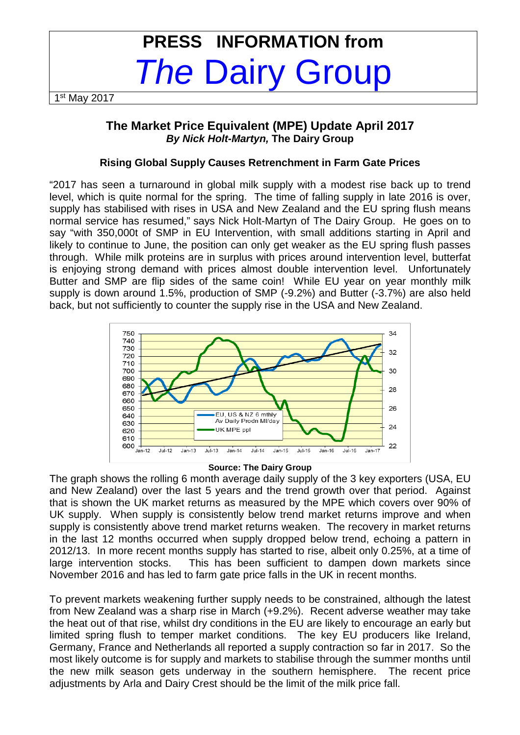# **PRESS INFORMATION from**  The Dairy Group

1 st May 2017

# **The Market Price Equivalent (MPE) Update April 2017 By Nick Holt-Martyn, The Dairy Group**

## **Rising Global Supply Causes Retrenchment in Farm Gate Prices**

"2017 has seen a turnaround in global milk supply with a modest rise back up to trend level, which is quite normal for the spring. The time of falling supply in late 2016 is over, supply has stabilised with rises in USA and New Zealand and the EU spring flush means normal service has resumed," says Nick Holt-Martyn of The Dairy Group. He goes on to say "with 350,000t of SMP in EU Intervention, with small additions starting in April and likely to continue to June, the position can only get weaker as the EU spring flush passes through. While milk proteins are in surplus with prices around intervention level, butterfat is enjoying strong demand with prices almost double intervention level. Unfortunately Butter and SMP are flip sides of the same coin! While EU year on year monthly milk supply is down around 1.5%, production of SMP (-9.2%) and Butter (-3.7%) are also held back, but not sufficiently to counter the supply rise in the USA and New Zealand.



#### **Source: The Dairy Group**

The graph shows the rolling 6 month average daily supply of the 3 key exporters (USA, EU and New Zealand) over the last 5 years and the trend growth over that period. Against that is shown the UK market returns as measured by the MPE which covers over 90% of UK supply. When supply is consistently below trend market returns improve and when supply is consistently above trend market returns weaken. The recovery in market returns in the last 12 months occurred when supply dropped below trend, echoing a pattern in 2012/13. In more recent months supply has started to rise, albeit only 0.25%, at a time of large intervention stocks. This has been sufficient to dampen down markets since November 2016 and has led to farm gate price falls in the UK in recent months.

To prevent markets weakening further supply needs to be constrained, although the latest from New Zealand was a sharp rise in March (+9.2%). Recent adverse weather may take the heat out of that rise, whilst dry conditions in the EU are likely to encourage an early but limited spring flush to temper market conditions. The key EU producers like Ireland, Germany, France and Netherlands all reported a supply contraction so far in 2017. So the most likely outcome is for supply and markets to stabilise through the summer months until the new milk season gets underway in the southern hemisphere. The recent price adjustments by Arla and Dairy Crest should be the limit of the milk price fall.